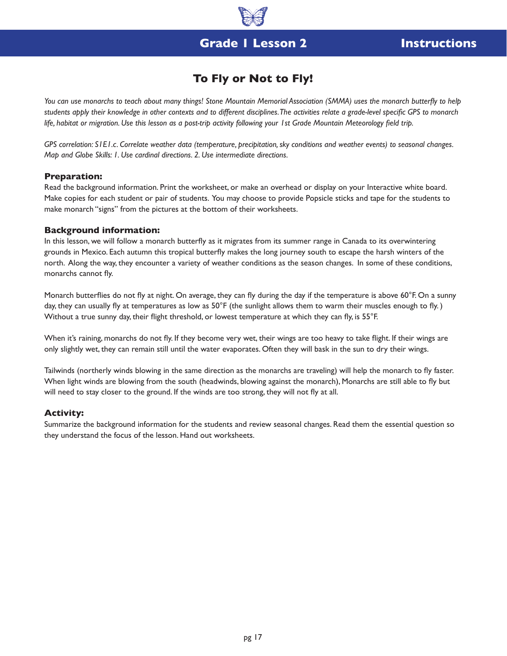## **Grade 1 Lesson 2 Instructions**

## **To Fly or Not to Fly!**

*You can use monarchs to teach about many things! Stone Mountain Memorial Association (SMMA) uses the monarch butterfly to help students apply their knowledge in other contexts and to different disciplines. The activities relate a grade-level specific GPS to monarch life, habitat or migration. Use this lesson as a post-trip activity following your 1st Grade Mountain Meteorology field trip.*

*GPS correlation: S1E1.c. Correlate weather data (temperature, precipitation, sky conditions and weather events) to seasonal changes. Map and Globe Skills: 1. Use cardinal directions. 2. Use intermediate directions.*

### **Preparation:**

Read the background information. Print the worksheet, or make an overhead or display on your Interactive white board. Make copies for each student or pair of students. You may choose to provide Popsicle sticks and tape for the students to make monarch "signs" from the pictures at the bottom of their worksheets.

### **Background information:**

In this lesson, we will follow a monarch butterfly as it migrates from its summer range in Canada to its overwintering grounds in Mexico. Each autumn this tropical butterfly makes the long journey south to escape the harsh winters of the north. Along the way, they encounter a variety of weather conditions as the season changes. In some of these conditions, monarchs cannot fly.

Monarch butterflies do not fly at night. On average, they can fly during the day if the temperature is above  $60^\circ$ F. On a sunny day, they can usually fly at temperatures as low as 50°F (the sunlight allows them to warm their muscles enough to fly.) Without a true sunny day, their flight threshold, or lowest temperature at which they can fly, is 55°F.

When it's raining, monarchs do not fly. If they become very wet, their wings are too heavy to take flight. If their wings are only slightly wet, they can remain still until the water evaporates. Often they will bask in the sun to dry their wings.

Tailwinds (northerly winds blowing in the same direction as the monarchs are traveling) will help the monarch to fly faster. When light winds are blowing from the south (headwinds, blowing against the monarch), Monarchs are still able to fly but will need to stay closer to the ground. If the winds are too strong, they will not fly at all.

#### **Activity:**

Summarize the background information for the students and review seasonal changes. Read them the essential question so they understand the focus of the lesson. Hand out worksheets.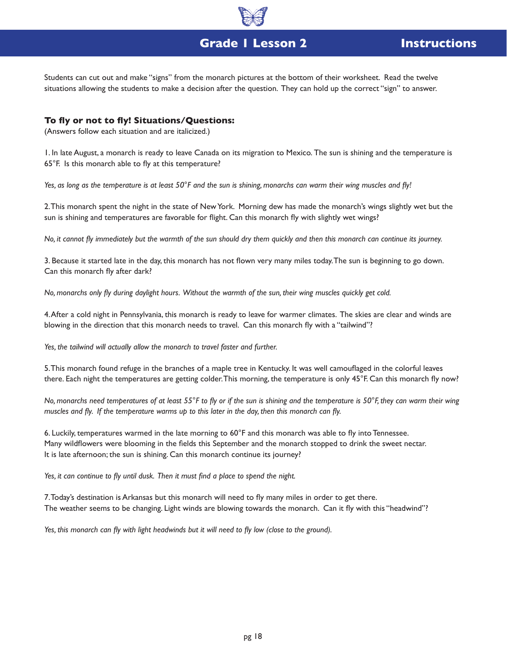

# **Grade 1 Lesson 2 Instructions**

Students can cut out and make "signs" from the monarch pictures at the bottom of their worksheet. Read the twelve situations allowing the students to make a decision after the question. They can hold up the correct "sign" to answer.

## **To fly or not to fly! Situations/Questions:**

(Answers follow each situation and are italicized.)

1. In late August, a monarch is ready to leave Canada on its migration to Mexico. The sun is shining and the temperature is 65°F. Is this monarch able to fly at this temperature?

*Yes, as long as the temperature is at least 50°F and the sun is shining, monarchs can warm their wing muscles and fly!*

2. This monarch spent the night in the state of New York. Morning dew has made the monarch's wings slightly wet but the sun is shining and temperatures are favorable for flight. Can this monarch fly with slightly wet wings?

*No, it cannot fly immediately but the warmth of the sun should dry them quickly and then this monarch can continue its journey.*

3. Because it started late in the day, this monarch has not flown very many miles today. The sun is beginning to go down. Can this monarch fly after dark?

*No, monarchs only fly during daylight hours. Without the warmth of the sun, their wing muscles quickly get cold.* 

4. After a cold night in Pennsylvania, this monarch is ready to leave for warmer climates. The skies are clear and winds are blowing in the direction that this monarch needs to travel. Can this monarch fly with a "tailwind"?

Yes, the tailwind will actually allow the monarch to travel faster and further.

5. This monarch found refuge in the branches of a maple tree in Kentucky. It was well camouflaged in the colorful leaves there. Each night the temperatures are getting colder. This morning, the temperature is only 45°F. Can this monarch fly now?

*No, monarchs need temperatures of at least 55°F to fly or if the sun is shining and the temperature is 50°F, they can warm their wing muscles and fly.* If the temperature warms up to this later in the day, then this monarch can fly.

6. Luckily, temperatures warmed in the late morning to 60°F and this monarch was able to fly into Tennessee. Many wildflowers were blooming in the fields this September and the monarch stopped to drink the sweet nectar. It is late afternoon; the sun is shining. Can this monarch continue its journey?

*Yes, it can continue to fly until dusk. Then it must find a place to spend the night.*

7. Today's destination is Arkansas but this monarch will need to fly many miles in order to get there. The weather seems to be changing. Light winds are blowing towards the monarch. Can it fly with this "headwind"?

Yes, this monarch can fly with light headwinds but it will need to fly low (close to the ground).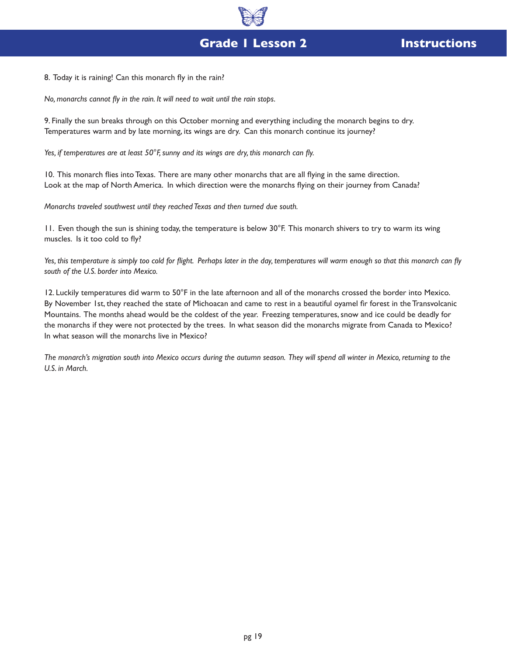8. Today it is raining! Can this monarch fly in the rain?

*No, monarchs cannot fly in the rain. It will need to wait until the rain stops.*

9. Finally the sun breaks through on this October morning and everything including the monarch begins to dry. Temperatures warm and by late morning, its wings are dry. Can this monarch continue its journey?

*Yes, if temperatures are at least 50°F, sunny and its wings are dry, this monarch can fly.*

10. This monarch flies into Texas. There are many other monarchs that are all flying in the same direction. Look at the map of North America. In which direction were the monarchs flying on their journey from Canada?

*Monarchs traveled southwest until they reached Texas and then turned due south.*

11. Even though the sun is shining today, the temperature is below 30°F. This monarch shivers to try to warm its wing muscles. Is it too cold to fly?

Yes, this temperature is simply too cold for flight. Perhaps later in the day, temperatures will warm enough so that this monarch can fly *south of the U.S. border into Mexico.*

12. Luckily temperatures did warm to 50°F in the late afternoon and all of the monarchs crossed the border into Mexico. By November 1st, they reached the state of Michoacan and came to rest in a beautiful oyamel fir forest in the Transvolcanic Mountains. The months ahead would be the coldest of the year. Freezing temperatures, snow and ice could be deadly for the monarchs if they were not protected by the trees. In what season did the monarchs migrate from Canada to Mexico? In what season will the monarchs live in Mexico?

*The monarch's migration south into Mexico occurs during the autumn season. They will spend all winter in Mexico, returning to the U.S. in March.*